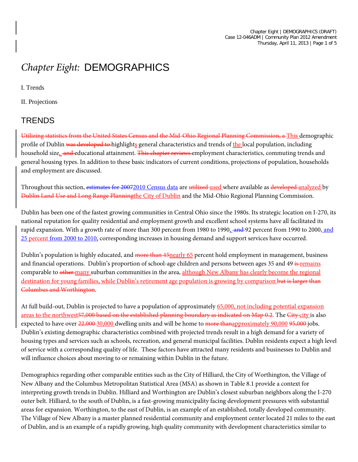# *Chapter Eight:* DEMOGRAPHICS

I. Trends

II. Projections

## **TRENDS**

Utilizing statistics from the United States Census and the Mid-Ohio Regional Planning Commission, a This demographic profile of Dublin was developed to highlights general characteristics and trends of the local population, including household size<sub>1</sub> and educational attainment. This chapter reviews employment characteristics, commuting trends and general housing types. In addition to these basic indicators of current conditions, projections of population, households and employment are discussed.

Throughout this section, estimates for 20072010 Census data are utilized used where available as developed analyzed by Dublin Land Use and Long Range Planningthe City of Dublin and the Mid-Ohio Regional Planning Commission.

Dublin has been one of the fastest growing communities in Central Ohio since the 1980s. Its strategic location on I-270, its national reputation for quality residential and employment growth and excellent school systems have all facilitated its rapid expansion. With a growth rate of more than 300 percent from 1980 to 1990, and 92 percent from 1990 to 2000, and 25 percent from 2000 to 2010, corresponding increases in housing demand and support services have occurred.

Dublin's population is highly educated, and more than 45 nearly 65 percent hold employment in management, business and financial operations. Dublin's proportion of school-age children and persons between ages 35 and 49 is remains comparable to other many suburban communities in the area, although New Albany has clearly become the regional destination for young families, while Dublin's retirement age population is growing by comparison but is larger than Columbus and Worthington.

At full build-out, Dublin is projected to have a population of approximately 65,000, not including potential expansion areas to the northwest 57,000 based on the established planning boundary as indicated on Map 0.2. The City city is also expected to have over  $22,000\overline{30,000}$  dwelling units and will be home to more thanapproximately 90,000 95,000 jobs. Dublin's existing demographic characteristics combined with projected trends result in a high demand for a variety of housing types and services such as schools, recreation, and general municipal facilities. Dublin residents expect a high level of service with a corresponding quality of life. These factors have attracted many residents and businesses to Dublin and will influence choices about moving to or remaining within Dublin in the future.

<span id="page-0-0"></span>Demographics regarding other comparable entities such as the City of Hilliard, the City of Worthington, the Village of New Albany and the Columbus Metropolitan Statistical Area (MSA) as shown in Table 8.1 provide a context for interpreting growth trends in Dublin. Hilliard and Worthington are Dublin's closest suburban neighbors along the I-270 outer belt. Hilliard, to the south of Dublin, is a fast-growing municipality facing development pressures with substantial areas for expansion. Worthington, to the east of Dublin, is an example of an established, totally developed community. The Village of New Albany is a master planned residential community and employment center located 21 miles to the east of Dublin, and is an example of a rapidly growing, high quality community with development characteristics similar to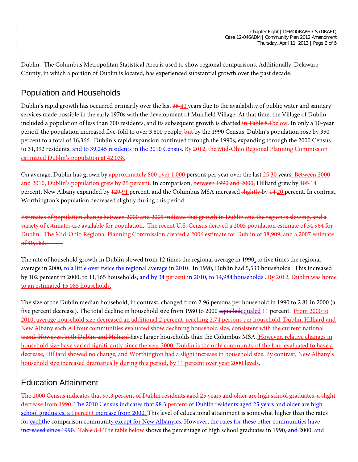Dublin. The Columbus Metropolitan Statistical Area is used to show regional comparisons. Additionally, Delaware County, in which a portion of Dublin is located, has experienced substantial growth over the past decade.

## Population and Households

Dublin's rapid growth has occurred primarily over the last  $\frac{35-40}{2}$  years due to the availability of public water and sanitary services made possible in the early 1970s with the development of Muirfield Village. At that time, the Village of Dublin included a population of less than 700 residents, and its subsequent growth is charted in Table 8.1below. In only a 10-year period, the population increased five-fold to over 3,800 people; but by the 1990 Census, Dublin's population rose by 350 percent to a total of 16,366. Dublin's rapid expansion continued through the 1990s, expanding through the 2000 Census to 31,392 residents, and to 39,245 residents in the 2010 Census. By 2012, the Mid-Ohio Regional Planning Commission estimated Dublin's population at 42,038.

On average, Dublin has grown by approximately 800 over 1,000 persons per year over the last 25-30 years. Between 2000 and 2010, Dublin's population grew by 25 percent. In comparison, between 1990 and 2000, Hilliard grew by 105-14 percent, New Albany expanded by 129-91 percent, and the Columbus MSA increased slightly by 14-20 percent. In contrast, Worthington's population decreased slightly during this period.

Estimates of population change between 2000 and 2005 indicate that growth in Dublin and the region is slowing, and a variety of estimates are available for population. The recent U.S. Census derived a 2005 population estimate of 34,964 for Dublin. The Mid-Ohio Regional Planning Commission created a 2006 estimate for Dublin of 38,909, and a 2007 estimate  $of 40,163.$ 

The rate of household growth in Dublin slowed from 12 times the regional average in 1990, to five times the regional average in 2000, to a little over twice the regional average in 2010. In 1990, Dublin had 5,533 households. This increased by 102 percent in 2000, to 11,165 households, and by 34 percent in 2010, to 14,984 households . By 2012, Dublin was home to an estimated 15,085 households.

The size of the Dublin median household, in contrast, changed from 2.96 persons per household in 1990 to 2.81 in 2000 (a five percent decrease). The total decline in household size from 1980 to 2000 equalledequaled 11 percent. From 2000 to 2010, average household size decreased an additional 2 percent, reaching 2.74 persons per household. Dublin, Hilliard and New Albany each All four communities evaluated show declining household size, consistent with the current national trend. However, both Dublin and Hilliard have larger households than the Columbus MSA. However, relative changes in household size have varied significantly since the year 2000. Dublin is the only community of the four evaluated to have a decrease, Hilliard showed no change, and Worthington had a slight increase in household size. By contrast, New Albany's household size increased dramatically during this period, by 11 percent over year 2000 levels.

## Education Attainment

The 2000 Census indicates that 97.3 percent of Dublin residents aged 25 years and older are high school graduates, a slight decrease from 1990. The 2010 Census indicates that 98.3 percent of Dublin residents aged 25 years and older are high school graduates, a 1 percent increase from 2000. This level of educational attainment is somewhat higher than the rates for eachthe comparison community except for New Albanyies. However, the rates for these other communities have increased since 1990. Table 8.4 The table below shows the percentage of high school graduates in 1990, and 2000, and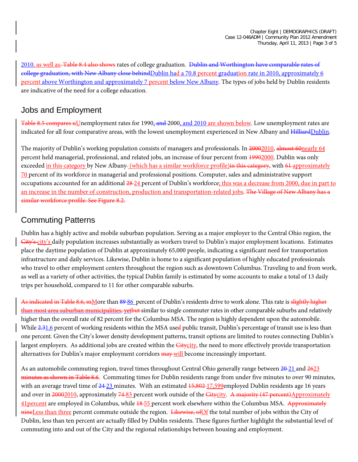2010, as well as. Table 8.4 also shows rates of college graduation. Dublin and Worthington have comparable rates of college graduation, with New Albany close behindDublin had a 70.8 percent graduation rate in 2010, approximately 6 percent above Worthington and approximately 7 percent below New Albany. The types of jobs held by Dublin residents are indicative of the need for a college education.

#### Jobs and Employment

Table 8.5 compares uUnemployment rates for 1990, and 2000, and 2010 are shown below. Low unemployment rates are indicated for all four comparative areas, with the lowest unemployment experienced in New Albany and HilliardDublin.

The majority of Dublin's working population consists of managers and professionals. In 20002010, almost 60nearly 64 percent held managerial, professional, and related jobs, an increase of four percent from 19902000. Dublin was only exceeded in this category by New Albany-(which has a similar workforce profile) in this category, with 61 approximately 70 percent of its workforce in managerial and professional positions. Computer, sales and administrative support occupations accounted for an additional  $\frac{28-24}{2}$  percent of Dublin's workforce; this was a decrease from 2000, due in part to an increase in the number of construction, production and transportation-related jobs. The Village of New Albany has a similar workforce profile. See Figure 8.2.

#### Commuting Patterns

Dublin has a highly active and mobile suburban population. Serving as a major employer to the Central Ohio region, the City's city's daily population increases substantially as workers travel to Dublin's major employment locations. Estimates place the daytime population of Dublin at approximately 65,000 people, indicating a significant need for transportation infrastructure and daily services. Likewise, Dublin is home to a significant population of highly educated professionals who travel to other employment centers throughout the region such as downtown Columbus. Traveling to and from work, as well as a variety of other activities, the typical Dublin family is estimated by some accounts to make a total of 13 daily trips per household, compared to 11 for other comparable suburbs.

As indicated in Table 8.6, mMore than 89-86 percent of Dublin's residents drive to work alone. This rate is slightly higher than most area suburban municipalities, yetbut similar to single commuter rates in other comparable suburbs and relatively higher than the overall rate of 82 percent for the Columbus MSA. The region is highly dependent upon the automobile. While 2.31.6 percent of working residents within the MSA used public transit, Dublin's percentage of transit use is less than one percent. Given the City's lower density development patterns, transit options are limited to routes connecting Dublin's largest employers. As additional jobs are created within the Citycity, the need to more effectively provide transportation alternatives for Dublin's major employment corridors **may will** become increasingly important.

As an automobile commuting region, travel times throughout Central Ohio generally range between  $\frac{20-21}{20}$  and  $\frac{2623}{20}$ minutes as shown in Table 8.6. Commuting times for Dublin residents range from under five minutes to over 90 minutes, with an average travel time of  $24-23$  minutes. With an estimated  $15,802-17,599$  employed Dublin residents age 16 years and over in 20002010, approximately 74-83 percent work outside of the Citycity. A majority (47 percent)Approximately 41percent are employed in Columbus, while 18-55 percent work elsewhere within the Columbus MSA. Approximately nineLess than three percent commute outside the region. Likewise, ofOf the total number of jobs within the City of Dublin, less than ten percent are actually filled by Dublin residents. These figures further highlight the substantial level of commuting into and out of the City and the regional relationships between housing and employment.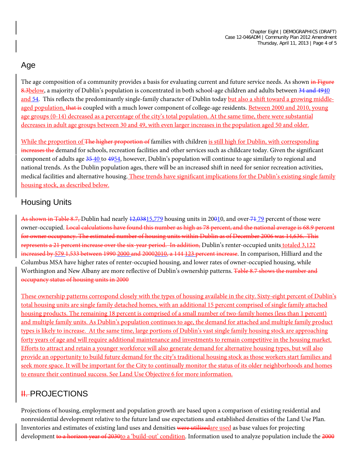#### Age

The age composition of a community provides a basis for evaluating current and future service needs. As shown in Figure 8.3below, a majority of Dublin's population is concentrated in both school-age children and adults between 34 and 4940 and 54. This reflects the predominantly single-family character of Dublin today but also a shift toward a growing middleaged population, that is coupled with a much lower component of college-age residents. Between 2000 and 2010, young age groups (0-14) decreased as a percentage of the city's total population. At the same time, there were substantial decreases in adult age groups between 30 and 49, with even larger increases in the population aged 50 and older.

While the proportion of The higher proportion of families with children is still high for Dublin, with corresponding increases the demand for schools, recreation facilities and other services such as childcare today. Given the significant component of adults age 35 40 to 4954, however, Dublin's population will continue to age similarly to regional and national trends. As the Dublin population ages, there will be an increased shift in need for senior recreation activities, medical facilities and alternative housing. These trends have significant implications for the Dublin's existing single family housing stock, as described below.

# Housing Units

As shown in Table 8.7, Dublin had nearly 12,03815,779 housing units in 20010, and over 7179 percent of those were owner-occupied. Local calculations have found this number as high as 78 percent, and the national average is 68.9 percent for owner occupancy. The estimated number of housing units within Dublin as of December 2006 was 14,636. This represents a 21 percent increase over the six-year period. In addition, Dublin's renter-occupied units totaled 3,122 increased by 579 1,533 between 1990 2000 and 20002010, a 144 123 percent increase. In comparison, Hilliard and the Columbus MSA have higher rates of renter-occupied housing, and lower rates of owner-occupied housing, while Worthington and New Albany are more reflective of Dublin's ownership patterns. Table 8.7 shows the number and occupancy status of housing units in 2000

These ownership patterns correspond closely with the types of housing available in the city. Sixty-eight percent of Dublin's total housing units are single family detached homes, with an additional 15 percent comprised of single family attached housing products. The remaining 18 percent is comprised of a small number of two-family homes (less than 1 percent) and multiple family units. As Dublin's population continues to age, the demand for attached and multiple family product types is likely to increase. At the same time, large portions of Dublin's vast single family housing stock are approaching forty years of age and will require additional maintenance and investments to remain competitive in the housing market. Efforts to attract and retain a younger workforce will also generate demand for alternative housing types, but will also provide an opportunity to build future demand for the city's traditional housing stock as those workers start families and seek more space. It will be important for the City to continually monitor the status of its older neighborhoods and homes to ensure their continued success. See Land Use Objective 6 for more information.

# **II. PROJECTIONS**

Projections of housing, employment and population growth are based upon a comparison of existing residential and nonresidential development relative to the future land use expectations and established densities of the Land Use Plan. Inventories and estimates of existing land uses and densities were utilizedare used as base values for projecting development to a horizon year of 2030to a 'build-out' condition. Information used to analyze population include the 2000